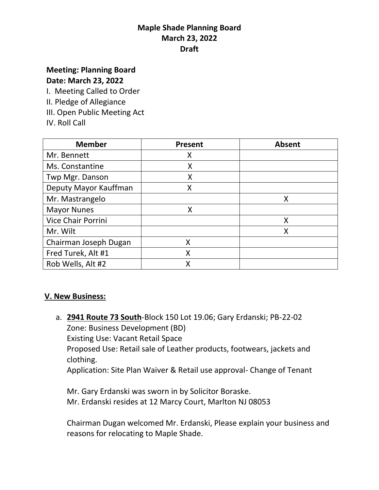# **Meeting: Planning Board**

# **Date: March 23, 2022**

I. Meeting Called to Order

- II. Pledge of Allegiance
- III. Open Public Meeting Act
- IV. Roll Call

| <b>Member</b>         | <b>Present</b> | <b>Absent</b> |
|-----------------------|----------------|---------------|
| Mr. Bennett           | Χ              |               |
| Ms. Constantine       | X              |               |
| Twp Mgr. Danson       | X              |               |
| Deputy Mayor Kauffman | Χ              |               |
| Mr. Mastrangelo       |                | X             |
| <b>Mayor Nunes</b>    | X              |               |
| Vice Chair Porrini    |                | X             |
| Mr. Wilt              |                | X             |
| Chairman Joseph Dugan | Χ              |               |
| Fred Turek, Alt #1    | Χ              |               |
| Rob Wells, Alt #2     | Χ              |               |

#### **V. New Business:**

a. **2941 Route 73 South**-Block 150 Lot 19.06; Gary Erdanski; PB-22-02 Zone: Business Development (BD) Existing Use: Vacant Retail Space Proposed Use: Retail sale of Leather products, footwears, jackets and clothing. Application: Site Plan Waiver & Retail use approval- Change of Tenant

Mr. Gary Erdanski was sworn in by Solicitor Boraske. Mr. Erdanski resides at 12 Marcy Court, Marlton NJ 08053

Chairman Dugan welcomed Mr. Erdanski, Please explain your business and reasons for relocating to Maple Shade.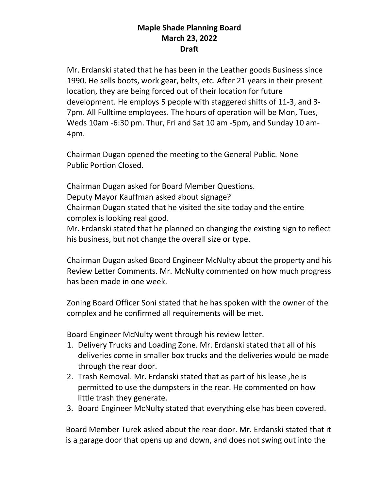Mr. Erdanski stated that he has been in the Leather goods Business since 1990. He sells boots, work gear, belts, etc. After 21 years in their present location, they are being forced out of their location for future development. He employs 5 people with staggered shifts of 11-3, and 3- 7pm. All Fulltime employees. The hours of operation will be Mon, Tues, Weds 10am -6:30 pm. Thur, Fri and Sat 10 am -5pm, and Sunday 10 am-4pm.

Chairman Dugan opened the meeting to the General Public. None Public Portion Closed.

Chairman Dugan asked for Board Member Questions. Deputy Mayor Kauffman asked about signage? Chairman Dugan stated that he visited the site today and the entire complex is looking real good.

Mr. Erdanski stated that he planned on changing the existing sign to reflect his business, but not change the overall size or type.

Chairman Dugan asked Board Engineer McNulty about the property and his Review Letter Comments. Mr. McNulty commented on how much progress has been made in one week.

Zoning Board Officer Soni stated that he has spoken with the owner of the complex and he confirmed all requirements will be met.

Board Engineer McNulty went through his review letter.

- 1. Delivery Trucks and Loading Zone. Mr. Erdanski stated that all of his deliveries come in smaller box trucks and the deliveries would be made through the rear door.
- 2. Trash Removal. Mr. Erdanski stated that as part of his lease ,he is permitted to use the dumpsters in the rear. He commented on how little trash they generate.
- 3. Board Engineer McNulty stated that everything else has been covered.

 Board Member Turek asked about the rear door. Mr. Erdanski stated that it is a garage door that opens up and down, and does not swing out into the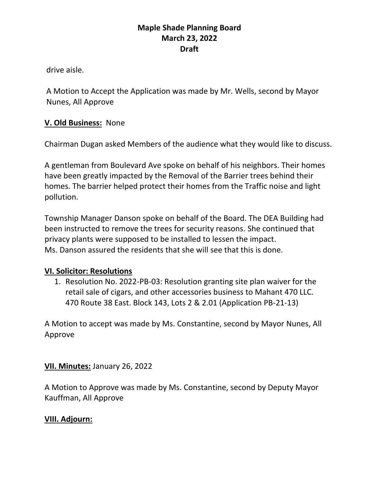drive aisle.

A Motion to Accept the Application was made by Mr. Wells, second by Mayor Nunes, All Approve

#### **V. Old Business:** None

Chairman Dugan asked Members of the audience what they would like to discuss.

A gentleman from Boulevard Ave spoke on behalf of his neighbors. Their homes have been greatly impacted by the Removal of the Barrier trees behind their homes. The barrier helped protect their homes from the Traffic noise and light pollution.

Township Manager Danson spoke on behalf of the Board. The DEA Building had been instructed to remove the trees for security reasons. She continued that privacy plants were supposed to be installed to lessen the impact. Ms. Danson assured the residents that she will see that this is done.

#### **VI. Solicitor: Resolutions**

1. Resolution No. 2022-PB-03: Resolution granting site plan waiver for the retail sale of cigars, and other accessories business to Mahant 470 LLC. 470 Route 38 East. Block 143, Lots 2 & 2.01 (Application PB-21-13)

A Motion to accept was made by Ms. Constantine, second by Mayor Nunes, All Approve

**VII. Minutes:** January 26, 2022

A Motion to Approve was made by Ms. Constantine, second by Deputy Mayor Kauffman, All Approve

#### **VIII. Adjourn:**